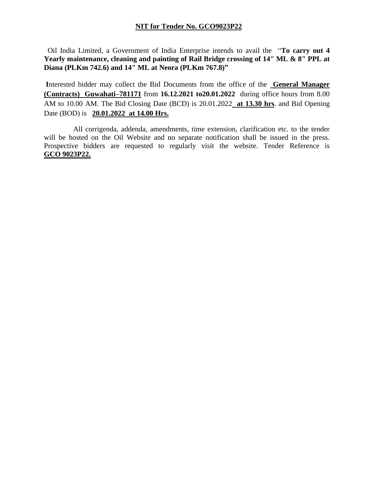## **NIT for Tender No. GCO9023P22**

 Oil India Limited, a Government of India Enterprise intends to avail the "**To carry out 4 Yearly maintenance, cleaning and painting of Rail Bridge crossing of 14" ML & 8" PPL at Diana (PLKm 742.6) and 14" ML at Neora (PLKm 767.8)"**

**I**nterested bidder may collect the Bid Documents from the office of the **General Manager (Contracts) Guwahati–781171** from **16.12.2021 to20.01.2022** during office hours from 8.00 AM to 10.00 AM. The Bid Closing Date (BCD) is 20.01.2022 **at 13.30 hrs**. and Bid Opening Date (BOD) is **20.01.2022 at 14.00 Hrs.**

 All corrigenda, addenda, amendments, time extension, clarification etc. to the tender will be hosted on the Oil Website and no separate notification shall be issued in the press. Prospective bidders are requested to regularly visit the website. Tender Reference is **GCO 9023P22.**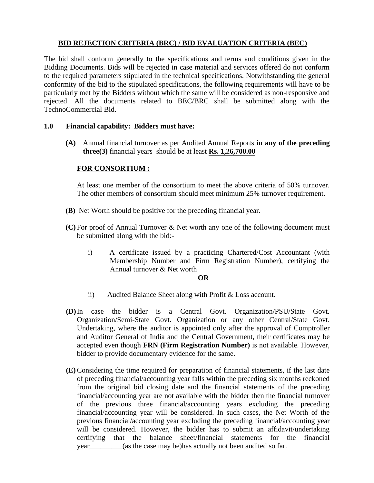# **BID REJECTION CRITERIA (BRC) / BID EVALUATION CRITERIA (BEC)**

The bid shall conform generally to the specifications and terms and conditions given in the Bidding Documents. Bids will be rejected in case material and services offered do not conform to the required parameters stipulated in the technical specifications. Notwithstanding the general conformity of the bid to the stipulated specifications, the following requirements will have to be particularly met by the Bidders without which the same will be considered as non-responsive and rejected. All the documents related to BEC/BRC shall be submitted along with the TechnoCommercial Bid.

## **1.0 Financial capability: Bidders must have:**

**(A)** Annual financial turnover as per Audited Annual Reports **in any of the preceding three(3)** financial years should be at least **Rs. 1,26,700.00**

# **FOR CONSORTIUM :**

At least one member of the consortium to meet the above criteria of 50% turnover. The other members of consortium should meet minimum 25% turnover requirement.

- **(B)** Net Worth should be positive for the preceding financial year.
- **(C)** For proof of Annual Turnover & Net worth any one of the following document must be submitted along with the bid:
	- i) A certificate issued by a practicing Chartered/Cost Accountant (with Membership Number and Firm Registration Number), certifying the Annual turnover & Net worth

#### **OR**

- ii) Audited Balance Sheet along with Profit & Loss account.
- **(D)**In case the bidder is a Central Govt. Organization/PSU/State Govt. Organization/Semi-State Govt. Organization or any other Central/State Govt. Undertaking, where the auditor is appointed only after the approval of Comptroller and Auditor General of India and the Central Government, their certificates may be accepted even though **FRN (Firm Registration Number)** is not available. However, bidder to provide documentary evidence for the same.
- **(E)** Considering the time required for preparation of financial statements, if the last date of preceding financial/accounting year falls within the preceding six months reckoned from the original bid closing date and the financial statements of the preceding financial/accounting year are not available with the bidder then the financial turnover of the previous three financial/accounting years excluding the preceding financial/accounting year will be considered. In such cases, the Net Worth of the previous financial/accounting year excluding the preceding financial/accounting year will be considered. However, the bidder has to submit an affidavit/undertaking certifying that the balance sheet/financial statements for the financial year\_\_\_\_\_\_\_\_\_(as the case may be)has actually not been audited so far.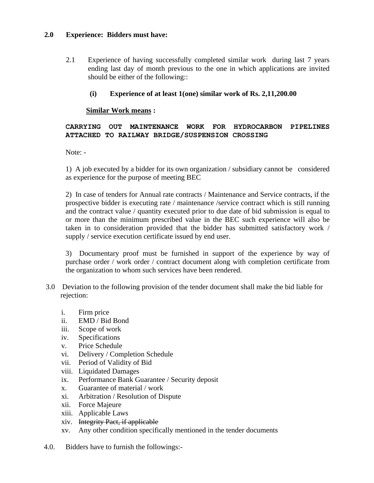#### **2.0 Experience: Bidders must have:**

2.1 Experience of having successfully completed similar work during last 7 years ending last day of month previous to the one in which applications are invited should be either of the following::

## **(i) Experience of at least 1(one) similar work of Rs. 2,11,200.00**

## **Similar Work means :**

**CARRYING OUT MAINTENANCE WORK FOR HYDROCARBON PIPELINES ATTACHED TO RAILWAY BRIDGE/SUSPENSION CROSSING**

Note: -

1) A job executed by a bidder for its own organization / subsidiary cannot be considered as experience for the purpose of meeting BEC

2) In case of tenders for Annual rate contracts / Maintenance and Service contracts, if the prospective bidder is executing rate / maintenance /service contract which is still running and the contract value / quantity executed prior to due date of bid submission is equal to or more than the minimum prescribed value in the BEC such experience will also be taken in to consideration provided that the bidder has submitted satisfactory work / supply / service execution certificate issued by end user.

3) Documentary proof must be furnished in support of the experience by way of purchase order / work order / contract document along with completion certificate from the organization to whom such services have been rendered.

- 3.0 Deviation to the following provision of the tender document shall make the bid liable for rejection:
	- i. Firm price
	- ii. EMD / Bid Bond
	- iii. Scope of work
	- iv. Specifications
	- v. Price Schedule
	- vi. Delivery / Completion Schedule
	- vii. Period of Validity of Bid
	- viii. Liquidated Damages
	- ix. Performance Bank Guarantee / Security deposit
	- x. Guarantee of material / work
	- xi. Arbitration / Resolution of Dispute
	- xii. Force Majeure
	- xiii. Applicable Laws
	- xiv. Integrity Pact, if applicable
	- xv. Any other condition specifically mentioned in the tender documents
- 4.0. Bidders have to furnish the followings:-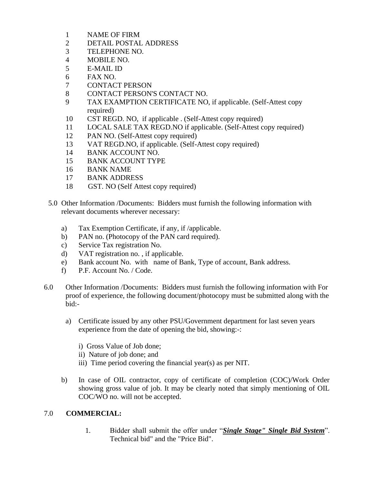- 1 NAME OF FIRM
- 2 DETAIL POSTAL ADDRESS
- 3 TELEPHONE NO.
- 4 MOBILE NO.
- 5 E-MAIL ID
- 6 FAX NO.
- 7 CONTACT PERSON
- 8 CONTACT PERSON'S CONTACT NO.
- 9 TAX EXAMPTION CERTIFICATE NO, if applicable. (Self-Attest copy required)
- 10 CST REGD. NO, if applicable . (Self-Attest copy required)
- 11 LOCAL SALE TAX REGD.NO if applicable. (Self-Attest copy required)
- 12 PAN NO. (Self-Attest copy required)
- 13 VAT REGD.NO, if applicable. (Self-Attest copy required)
- 14 BANK ACCOUNT NO.
- 15 BANK ACCOUNT TYPE
- 16 BANK NAME
- 17 BANK ADDRESS
- 18 GST. NO (Self Attest copy required)
- 5.0 Other Information /Documents: Bidders must furnish the following information with relevant documents wherever necessary:
	- a) Tax Exemption Certificate, if any, if /applicable.
	- b) PAN no. (Photocopy of the PAN card required).
	- c) Service Tax registration No.
	- d) VAT registration no. , if applicable.
	- e) Bank account No. with name of Bank, Type of account, Bank address.
	- f) P.F. Account No. / Code.
- 6.0 Other Information /Documents: Bidders must furnish the following information with For proof of experience, the following document/photocopy must be submitted along with the bid:
	- a) Certificate issued by any other PSU/Government department for last seven years experience from the date of opening the bid, showing:-:
		- i) Gross Value of Job done;
		- ii) Nature of job done; and
		- iii) Time period covering the financial year(s) as per NIT.
	- b) In case of OIL contractor, copy of certificate of completion (COC)/Work Order showing gross value of job. It may be clearly noted that simply mentioning of OIL COC/WO no. will not be accepted.

# 7.0 **COMMERCIAL:**

1. Bidder shall submit the offer under "*Single Stage" Single Bid System*". Technical bid" and the "Price Bid".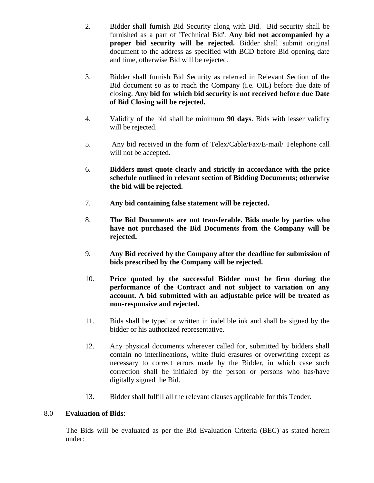- 2. Bidder shall furnish Bid Security along with Bid. Bid security shall be furnished as a part of 'Technical Bid'. **Any bid not accompanied by a proper bid security will be rejected.** Bidder shall submit original document to the address as specified with BCD before Bid opening date and time, otherwise Bid will be rejected.
- 3. Bidder shall furnish Bid Security as referred in Relevant Section of the Bid document so as to reach the Company (i.e. OIL) before due date of closing. **Any bid for which bid security is not received before due Date of Bid Closing will be rejected.**
- 4. Validity of the bid shall be minimum **90 days**. Bids with lesser validity will be rejected.
- 5. Any bid received in the form of Telex/Cable/Fax/E-mail/ Telephone call will not be accepted.
- 6. **Bidders must quote clearly and strictly in accordance with the price schedule outlined in relevant section of Bidding Documents; otherwise the bid will be rejected.**
- 7. **Any bid containing false statement will be rejected.**
- 8. **The Bid Documents are not transferable. Bids made by parties who have not purchased the Bid Documents from the Company will be rejected.**
- 9. **Any Bid received by the Company after the deadline for submission of bids prescribed by the Company will be rejected.**
- 10. **Price quoted by the successful Bidder must be firm during the performance of the Contract and not subject to variation on any account. A bid submitted with an adjustable price will be treated as non-responsive and rejected.**
- 11. Bids shall be typed or written in indelible ink and shall be signed by the bidder or his authorized representative.
- 12. Any physical documents wherever called for, submitted by bidders shall contain no interlineations, white fluid erasures or overwriting except as necessary to correct errors made by the Bidder, in which case such correction shall be initialed by the person or persons who has/have digitally signed the Bid.
- 13. Bidder shall fulfill all the relevant clauses applicable for this Tender.

# 8.0 **Evaluation of Bids**:

The Bids will be evaluated as per the Bid Evaluation Criteria (BEC) as stated herein under: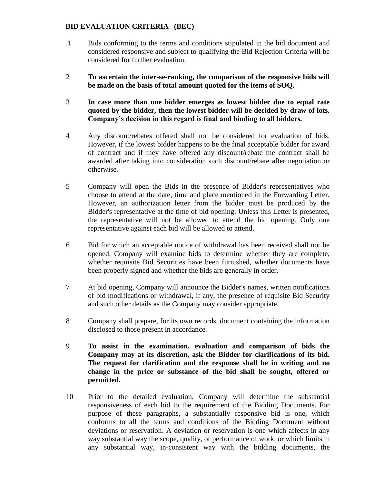# **BID EVALUATION CRITERIA (BEC)**

- .1 Bids conforming to the terms and conditions stipulated in the bid document and considered responsive and subject to qualifying the Bid Rejection Criteria will be considered for further evaluation.
- 2 **To ascertain the inter-se-ranking, the comparison of the responsive bids will be made on the basis of total amount quoted for the items of SOQ.**
- 3 **In case more than one bidder emerges as lowest bidder due to equal rate quoted by the bidder, then the lowest bidder will be decided by draw of lots. Company's decision in this regard is final and binding to all bidders.**
- 4 Any discount/rebates offered shall not be considered for evaluation of bids. However, if the lowest bidder happens to be the final acceptable bidder for award of contract and if they have offered any discount/rebate the contract shall be awarded after taking into consideration such discount/rebate after negotiation or otherwise.
- 5 Company will open the Bids in the presence of Bidder's representatives who choose to attend at the date, time and place mentioned in the Forwarding Letter. However, an authorization letter from the bidder must be produced by the Bidder's representative at the time of bid opening. Unless this Letter is presented, the representative will not be allowed to attend the bid opening. Only one representative against each bid will be allowed to attend.
- 6 Bid for which an acceptable notice of withdrawal has been received shall not be opened. Company will examine bids to determine whether they are complete, whether requisite Bid Securities have been furnished, whether documents have been properly signed and whether the bids are generally in order.
- 7 At bid opening, Company will announce the Bidder's names, written notifications of bid modifications or withdrawal, if any, the presence of requisite Bid Security and such other details as the Company may consider appropriate.
- 8 Company shall prepare, for its own records, document containing the information disclosed to those present in accordance.
- 9 **To assist in the examination, evaluation and comparison of bids the Company may at its discretion, ask the Bidder for clarifications of its bid. The request for clarification and the response shall be in writing and no change in the price or substance of the bid shall be sought, offered or permitted.**
- 10 Prior to the detailed evaluation, Company will determine the substantial responsiveness of each bid to the requirement of the Bidding Documents. For purpose of these paragraphs, a substantially responsive bid is one, which conforms to all the terms and conditions of the Bidding Document without deviations or reservation. A deviation or reservation is one which affects in any way substantial way the scope, quality, or performance of work, or which limits in any substantial way, in-consistent way with the bidding documents, the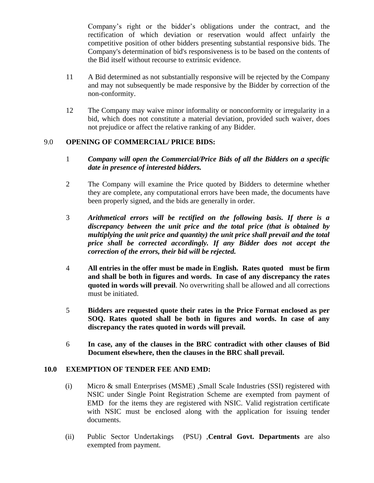Company's right or the bidder's obligations under the contract, and the rectification of which deviation or reservation would affect unfairly the competitive position of other bidders presenting substantial responsive bids. The Company's determination of bid's responsiveness is to be based on the contents of the Bid itself without recourse to extrinsic evidence.

- 11 A Bid determined as not substantially responsive will be rejected by the Company and may not subsequently be made responsive by the Bidder by correction of the non-conformity.
- 12 The Company may waive minor informality or nonconformity or irregularity in a bid, which does not constitute a material deviation, provided such waiver, does not prejudice or affect the relative ranking of any Bidder.

## 9.0 **OPENING OF COMMERCIAL/ PRICE BIDS:**

- 1 *Company will open the Commercial/Price Bids of all the Bidders on a specific date in presence of interested bidders.*
- 2 The Company will examine the Price quoted by Bidders to determine whether they are complete, any computational errors have been made, the documents have been properly signed, and the bids are generally in order.
- 3 *Arithmetical errors will be rectified on the following basis. If there is a discrepancy between the unit price and the total price (that is obtained by multiplying the unit price and quantity) the unit price shall prevail and the total price shall be corrected accordingly. If any Bidder does not accept the correction of the errors, their bid will be rejected.*
- 4 **All entries in the offer must be made in English. Rates quoted must be firm and shall be both in figures and words. In case of any discrepancy the rates quoted in words will prevail**. No overwriting shall be allowed and all corrections must be initiated.
- 5 **Bidders are requested quote their rates in the Price Format enclosed as per SOQ. Rates quoted shall be both in figures and words. In case of any discrepancy the rates quoted in words will prevail.**
- 6 **In case, any of the clauses in the BRC contradict with other clauses of Bid Document elsewhere, then the clauses in the BRC shall prevail.**

#### **10.0 EXEMPTION OF TENDER FEE AND EMD:**

- (i) Micro & small Enterprises (MSME) ,Small Scale Industries (SSI) registered with NSIC under Single Point Registration Scheme are exempted from payment of EMD for the items they are registered with NSIC. Valid registration certificate with NSIC must be enclosed along with the application for issuing tender documents.
- (ii) Public Sector Undertakings (PSU) ,**Central Govt. Departments** are also exempted from payment.